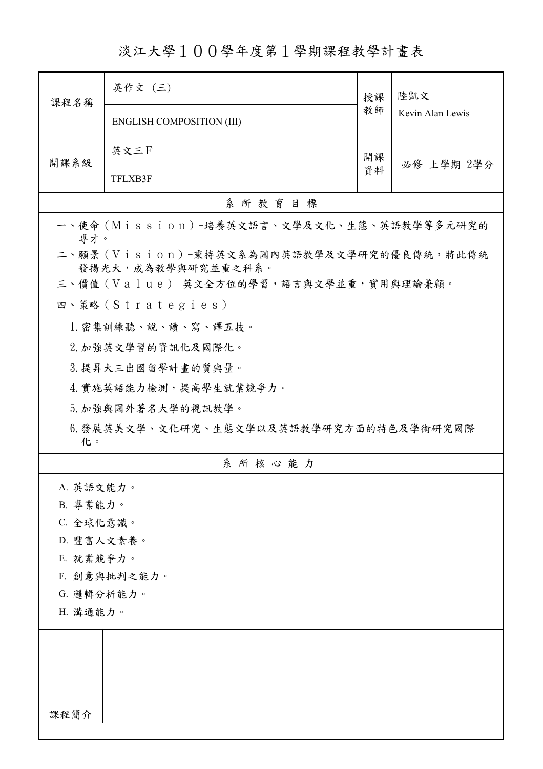淡江大學100學年度第1學期課程教學計畫表

| 課程名稱         | 英作文 (三)                                                         | 授課       | 陸凱文<br>Kevin Alan Lewis |  |  |
|--------------|-----------------------------------------------------------------|----------|-------------------------|--|--|
|              | <b>ENGLISH COMPOSITION (III)</b>                                | 教師       |                         |  |  |
| 開課系級         | 英文三F                                                            | 開課<br>資料 | 必修 上學期 2學分              |  |  |
|              | TFLXB3F                                                         |          |                         |  |  |
|              | 系所教育目標                                                          |          |                         |  |  |
| 專才。          | 一、使命 (Mission) -培養英文語言、文學及文化、生態、英語教學等多元研究的                      |          |                         |  |  |
|              | 二、願景 (Vision)-秉持英文系為國內英語教學及文學研究的優良傳統,將此傳統<br>發揚光大,成為教學與研究並重之科系。 |          |                         |  |  |
|              | 三、價值(Value)-英文全方位的學習,語言與文學並重,實用與理論兼顧。                           |          |                         |  |  |
|              | 四、策略(Strategies)-                                               |          |                         |  |  |
|              | 1. 密集訓練聽、說、讀、寫、譯五技。                                             |          |                         |  |  |
|              | 2. 加強英文學習的資訊化及國際化。                                              |          |                         |  |  |
|              | 3. 提昇大三出國留學計畫的質與量。                                              |          |                         |  |  |
|              | 4. 實施英語能力檢測,提高學生就業競爭力。                                          |          |                         |  |  |
|              | 5. 加強與國外著名大學的視訊教學。                                              |          |                         |  |  |
| 化。           | 6.發展英美文學、文化研究、生態文學以及英語教學研究方面的特色及學術研究國際                          |          |                         |  |  |
|              | 系所核心能力                                                          |          |                         |  |  |
| A. 英語文能力。    |                                                                 |          |                         |  |  |
| B. 專業能力。     |                                                                 |          |                         |  |  |
| C. 全球化意識。    |                                                                 |          |                         |  |  |
|              | D. 豐富人文素養。                                                      |          |                         |  |  |
| E. 就業競爭力。    |                                                                 |          |                         |  |  |
| F. 創意與批判之能力。 |                                                                 |          |                         |  |  |
| G. 邏輯分析能力。   |                                                                 |          |                         |  |  |
| H. 溝通能力。     |                                                                 |          |                         |  |  |
|              |                                                                 |          |                         |  |  |
|              |                                                                 |          |                         |  |  |
|              |                                                                 |          |                         |  |  |
|              |                                                                 |          |                         |  |  |
| 課程簡介         |                                                                 |          |                         |  |  |
|              |                                                                 |          |                         |  |  |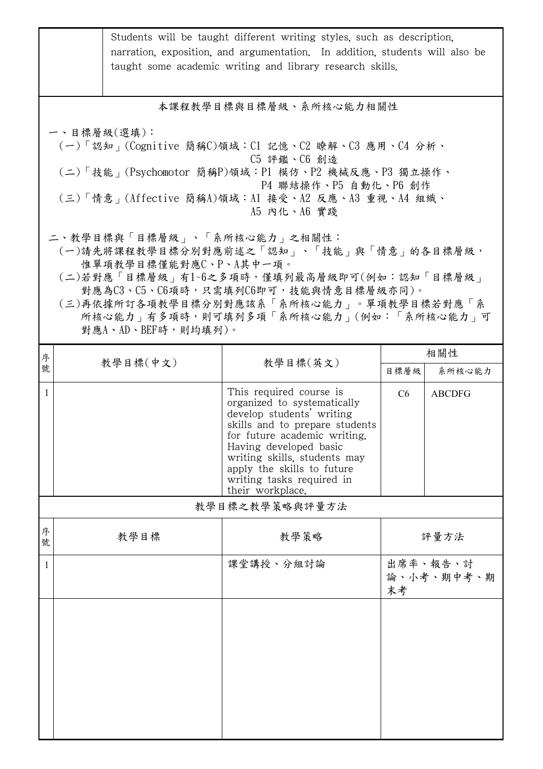|                                                                                                                                                                                                                                                                                                       | Students will be taught different writing styles, such as description,<br>narration, exposition, and argumentation. In addition, students will also be<br>taught some academic writing and library research skills. |                                                                                                                                                                                                                                                                                                |      |                        |  |  |  |
|-------------------------------------------------------------------------------------------------------------------------------------------------------------------------------------------------------------------------------------------------------------------------------------------------------|---------------------------------------------------------------------------------------------------------------------------------------------------------------------------------------------------------------------|------------------------------------------------------------------------------------------------------------------------------------------------------------------------------------------------------------------------------------------------------------------------------------------------|------|------------------------|--|--|--|
|                                                                                                                                                                                                                                                                                                       | 本課程教學目標與目標層級、系所核心能力相關性                                                                                                                                                                                              |                                                                                                                                                                                                                                                                                                |      |                        |  |  |  |
| 一、目標層級(選填):<br>(一)「認知」(Cognitive 簡稱C)領域:C1 記憶、C2 瞭解、C3 應用、C4 分析、<br>C5 評鑑、C6 創造<br>(二)「技能」(Psychomotor 簡稱P)領域:P1 模仿、P2 機械反應、P3 獨立操作、<br>P4 聯結操作、P5 自動化、P6 創作<br>(三)「情意」(Affective 簡稱A)領域:Al 接受、A2 反應、A3 重視、A4 組織、<br>A5 内化、A6 實踐                                                                      |                                                                                                                                                                                                                     |                                                                                                                                                                                                                                                                                                |      |                        |  |  |  |
| 二、教學目標與「目標層級」、「系所核心能力」之相關性:<br>(一)請先將課程教學目標分別對應前述之「認知」、「技能」與「情意」的各目標層級,<br>惟單項教學目標僅能對應C、P、A其中一項。<br>(二)若對應「目標層級」有1~6之多項時,僅填列最高層級即可(例如:認知「目標層級」<br>對應為C3、C5、C6項時,只需填列C6即可,技能與情意目標層級亦同)。<br>(三)再依據所訂各項教學目標分別對應該系「系所核心能力」。單項教學目標若對應「系<br>所核心能力   有多項時, 則可填列多項「系所核心能力」(例如:「系所核心能力」可<br>對應A、AD、BEF時,則均填列)。 |                                                                                                                                                                                                                     |                                                                                                                                                                                                                                                                                                |      |                        |  |  |  |
| 序                                                                                                                                                                                                                                                                                                     | 教學目標(中文)                                                                                                                                                                                                            | 教學目標(英文)                                                                                                                                                                                                                                                                                       |      | 相關性                    |  |  |  |
| 號                                                                                                                                                                                                                                                                                                     |                                                                                                                                                                                                                     |                                                                                                                                                                                                                                                                                                | 目標層級 | 系所核心能力                 |  |  |  |
| $\overline{1}$                                                                                                                                                                                                                                                                                        |                                                                                                                                                                                                                     | This required course is<br>organized to systematically<br>develop students' writing<br>skills and to prepare students<br>for future academic writing.<br>Having developed basic<br>writing skills, students may<br>apply the skills to future<br>writing tasks required in<br>their workplace. | C6   | <b>ABCDFG</b>          |  |  |  |
| 教學目標之教學策略與評量方法                                                                                                                                                                                                                                                                                        |                                                                                                                                                                                                                     |                                                                                                                                                                                                                                                                                                |      |                        |  |  |  |
| 序<br>號                                                                                                                                                                                                                                                                                                | 教學目標                                                                                                                                                                                                                | 教學策略                                                                                                                                                                                                                                                                                           | 評量方法 |                        |  |  |  |
| 1                                                                                                                                                                                                                                                                                                     |                                                                                                                                                                                                                     | 課堂講授、分組討論                                                                                                                                                                                                                                                                                      | 末考   | 出席率、報告、討<br>論、小考、期中考、期 |  |  |  |
|                                                                                                                                                                                                                                                                                                       |                                                                                                                                                                                                                     |                                                                                                                                                                                                                                                                                                |      |                        |  |  |  |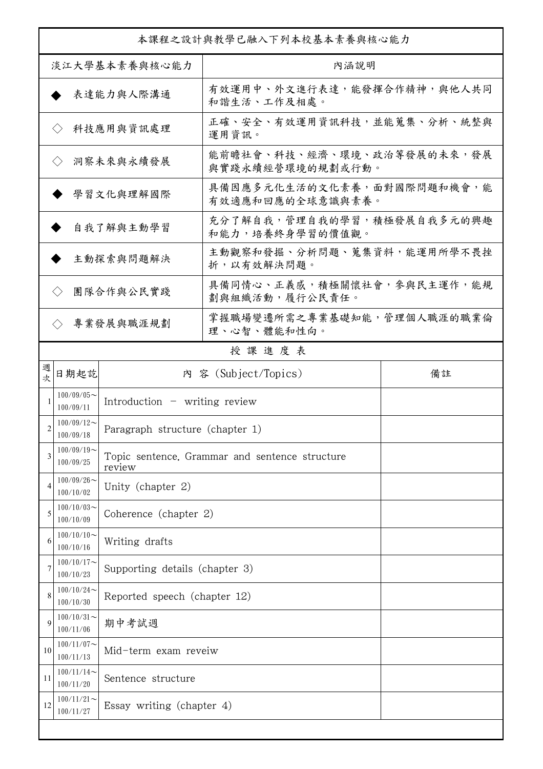| 本課程之設計與教學已融入下列本校基本素養與核心能力                                          |                                    |                                 |                                                |  |  |
|--------------------------------------------------------------------|------------------------------------|---------------------------------|------------------------------------------------|--|--|
| 淡江大學基本素養與核心能力                                                      |                                    |                                 | 內涵說明                                           |  |  |
|                                                                    |                                    | 表達能力與人際溝通                       | 有效運用中、外文進行表達,能發揮合作精神,與他人共同<br>和諧生活、工作及相處。      |  |  |
|                                                                    | $\langle \rangle$                  | 科技應用與資訊處理                       | 正確、安全、有效運用資訊科技,並能蒐集、分析、統整與<br>運用資訊。            |  |  |
|                                                                    | $\langle \rangle$                  | 洞察未來與永續發展                       | 能前瞻社會、科技、經濟、環境、政治等發展的未來,發展<br>與實踐永續經營環境的規劃或行動。 |  |  |
|                                                                    |                                    | 學習文化與理解國際                       | 具備因應多元化生活的文化素養,面對國際問題和機會,能<br>有效適應和回應的全球意識與素養。 |  |  |
|                                                                    |                                    | 自我了解與主動學習                       | 充分了解自我,管理自我的學習,積極發展自我多元的興趣<br>和能力,培養終身學習的價值觀。  |  |  |
|                                                                    |                                    | 主動探索與問題解決                       | 主動觀察和發掘、分析問題、蒐集資料,能運用所學不畏挫<br>折,以有效解決問題。       |  |  |
|                                                                    | $\langle \rangle$                  | 團隊合作與公民實踐                       | 具備同情心、正義感,積極關懷社會,參與民主運作,能規<br>劃與組織活動,履行公民責任。   |  |  |
|                                                                    | $\langle \rangle$                  | 專業發展與職涯規劃                       | 掌握職場變遷所需之專業基礎知能,管理個人職涯的職業倫<br>理、心智、體能和性向。      |  |  |
|                                                                    |                                    |                                 | 授課進度表                                          |  |  |
| 女                                                                  | 日期起訖<br>內 容 (Subject/Topics)<br>備註 |                                 |                                                |  |  |
| $100/09/05$ ~<br>Introduction $-$ writing review<br>1<br>100/09/11 |                                    |                                 |                                                |  |  |
| 2                                                                  | $100/09/12$ ~<br>100/09/18         | Paragraph structure (chapter 1) |                                                |  |  |
| 3                                                                  | $100/09/19$ ~<br>100/09/25         | review                          | Topic sentence. Grammar and sentence structure |  |  |
| 4                                                                  | $100/09/26$ ~<br>100/10/02         | Unity (chapter 2)               |                                                |  |  |
| 5                                                                  | $100/10/03$ ~<br>100/10/09         | Coherence (chapter 2)           |                                                |  |  |
| 6                                                                  | $100/10/10$ ~<br>100/10/16         | Writing drafts                  |                                                |  |  |
| 7                                                                  | $100/10/17$ ~<br>100/10/23         | Supporting details (chapter 3)  |                                                |  |  |
| 8                                                                  | $100/10/24$ ~<br>100/10/30         | Reported speech (chapter 12)    |                                                |  |  |
| 9                                                                  | $100/10/31$ ~<br>100/11/06         | 期中考試週                           |                                                |  |  |
| 10                                                                 | $100/11/07$ ~<br>100/11/13         | Mid-term exam reveiw            |                                                |  |  |
| 11                                                                 | $100/11/14$ ~<br>100/11/20         | Sentence structure              |                                                |  |  |
| 12                                                                 | $100/11/21$ ~<br>100/11/27         | Essay writing (chapter 4)       |                                                |  |  |
|                                                                    |                                    |                                 |                                                |  |  |